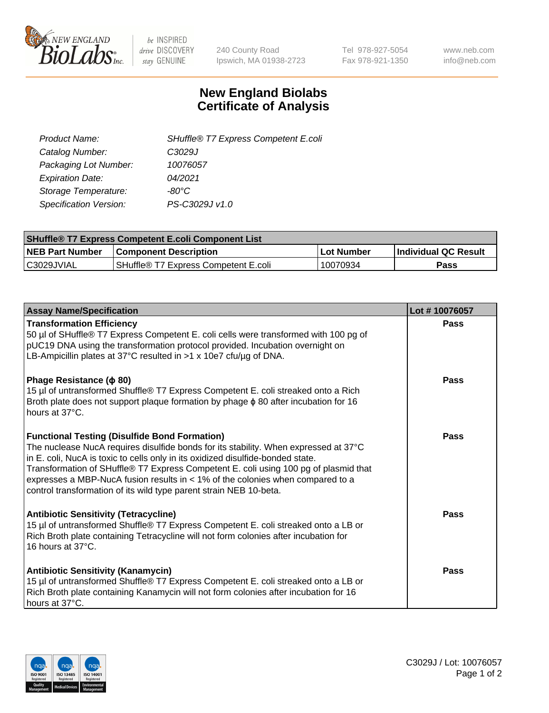

 $be$  INSPIRED drive DISCOVERY stay GENUINE

240 County Road Ipswich, MA 01938-2723 Tel 978-927-5054 Fax 978-921-1350 www.neb.com info@neb.com

## **New England Biolabs Certificate of Analysis**

| SHuffle® T7 Express Competent E.coli |
|--------------------------------------|
| C3029J                               |
| 10076057                             |
| 04/2021                              |
| -80°C.                               |
| PS-C3029J v1.0                       |
|                                      |

| <b>SHuffle® T7 Express Competent E.coli Component List</b> |                                      |            |                      |  |
|------------------------------------------------------------|--------------------------------------|------------|----------------------|--|
| <b>NEB Part Number</b>                                     | <b>Component Description</b>         | Lot Number | Individual QC Result |  |
| IC3029JVIAL                                                | SHuffle® T7 Express Competent E.coli | 10070934   | <b>Pass</b>          |  |

| <b>Assay Name/Specification</b>                                                                                                                                                                                                                                                                                                                                                                                                                                                   | Lot #10076057 |
|-----------------------------------------------------------------------------------------------------------------------------------------------------------------------------------------------------------------------------------------------------------------------------------------------------------------------------------------------------------------------------------------------------------------------------------------------------------------------------------|---------------|
| <b>Transformation Efficiency</b><br>50 µl of SHuffle® T7 Express Competent E. coli cells were transformed with 100 pg of<br>pUC19 DNA using the transformation protocol provided. Incubation overnight on<br>LB-Ampicillin plates at 37°C resulted in >1 x 10e7 cfu/ug of DNA.                                                                                                                                                                                                    | Pass          |
| Phage Resistance ( $\phi$ 80)<br>15 µl of untransformed Shuffle® T7 Express Competent E. coli streaked onto a Rich<br>Broth plate does not support plaque formation by phage $\phi$ 80 after incubation for 16<br>hours at 37°C.                                                                                                                                                                                                                                                  | Pass          |
| <b>Functional Testing (Disulfide Bond Formation)</b><br>The nuclease NucA requires disulfide bonds for its stability. When expressed at 37°C<br>in E. coli, NucA is toxic to cells only in its oxidized disulfide-bonded state.<br>Transformation of SHuffle® T7 Express Competent E. coli using 100 pg of plasmid that<br>expresses a MBP-NucA fusion results in $<$ 1% of the colonies when compared to a<br>control transformation of its wild type parent strain NEB 10-beta. | Pass          |
| <b>Antibiotic Sensitivity (Tetracycline)</b><br>15 µl of untransformed Shuffle® T7 Express Competent E. coli streaked onto a LB or<br>Rich Broth plate containing Tetracycline will not form colonies after incubation for<br>16 hours at 37°C.                                                                                                                                                                                                                                   | Pass          |
| <b>Antibiotic Sensitivity (Kanamycin)</b><br>15 µl of untransformed Shuffle® T7 Express Competent E. coli streaked onto a LB or<br>Rich Broth plate containing Kanamycin will not form colonies after incubation for 16<br>hours at 37°C.                                                                                                                                                                                                                                         | Pass          |